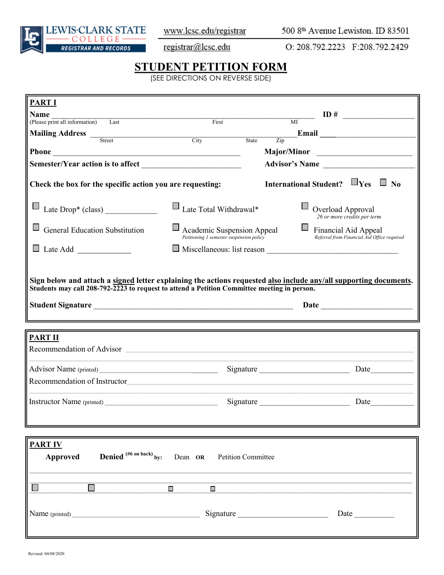

www.lcsc.edu/registrar

500 8th Avenue Lewiston. ID 83501

registrar@lcsc.edu

O: 208.792.2223 F:208.792.2429

## **STUDENT PETITION FORM**

(SEE DIRECTIONS ON REVERSE SIDE)

| <b>PART I</b>                                                                                                                                                                                                                                   |                                                                                                                        |                                                                     |  |
|-------------------------------------------------------------------------------------------------------------------------------------------------------------------------------------------------------------------------------------------------|------------------------------------------------------------------------------------------------------------------------|---------------------------------------------------------------------|--|
| <b>Name</b>                                                                                                                                                                                                                                     |                                                                                                                        |                                                                     |  |
| (Please print all information) Last                                                                                                                                                                                                             | $\qquad \qquad \textbf{ID} \#$<br>First<br>$\overline{MI}$                                                             |                                                                     |  |
| Mailing Address Theorem City                                                                                                                                                                                                                    | State                                                                                                                  | $\frac{1}{\text{Zip}}$                                              |  |
|                                                                                                                                                                                                                                                 |                                                                                                                        |                                                                     |  |
|                                                                                                                                                                                                                                                 |                                                                                                                        | Major/Minor                                                         |  |
|                                                                                                                                                                                                                                                 |                                                                                                                        | Advisor's Name                                                      |  |
| Check the box for the specific action you are requesting:                                                                                                                                                                                       |                                                                                                                        | International Student? $\Box$ Yes $\Box$ No                         |  |
|                                                                                                                                                                                                                                                 | $\Box$ Late Total Withdrawal*                                                                                          | Overload Approval<br>26 or more credits per term                    |  |
| <b>General Education Substitution</b>                                                                                                                                                                                                           | Academic Suspension Appeal<br>Petitioning 1 semester suspension policy                                                 | Financial Aid Appeal<br>Referral from Financial Aid Office required |  |
|                                                                                                                                                                                                                                                 |                                                                                                                        |                                                                     |  |
| <b>PART II</b><br>Recommendation of Advisor experience of the state of the state of the state of the state of the state of the state of the state of the state of the state of the state of the state of the state of the state of the state of | <u> 1989 - Johann Stoff, deutscher Stoffen und der Stoffen und der Stoffen und der Stoffen und der Stoffen und der</u> |                                                                     |  |
|                                                                                                                                                                                                                                                 |                                                                                                                        | Signature<br>Date                                                   |  |
| Recommendation of Instructor                                                                                                                                                                                                                    |                                                                                                                        |                                                                     |  |
|                                                                                                                                                                                                                                                 |                                                                                                                        | Signature                                                           |  |
| <b>PARTIV</b>                                                                                                                                                                                                                                   |                                                                                                                        |                                                                     |  |
| <b>Denied</b> (#6 on back) by: Dean OR Petition Committee<br>Approved                                                                                                                                                                           |                                                                                                                        |                                                                     |  |
|                                                                                                                                                                                                                                                 |                                                                                                                        |                                                                     |  |
|                                                                                                                                                                                                                                                 |                                                                                                                        |                                                                     |  |
|                                                                                                                                                                                                                                                 | $\blacksquare$<br>$\Box$                                                                                               |                                                                     |  |